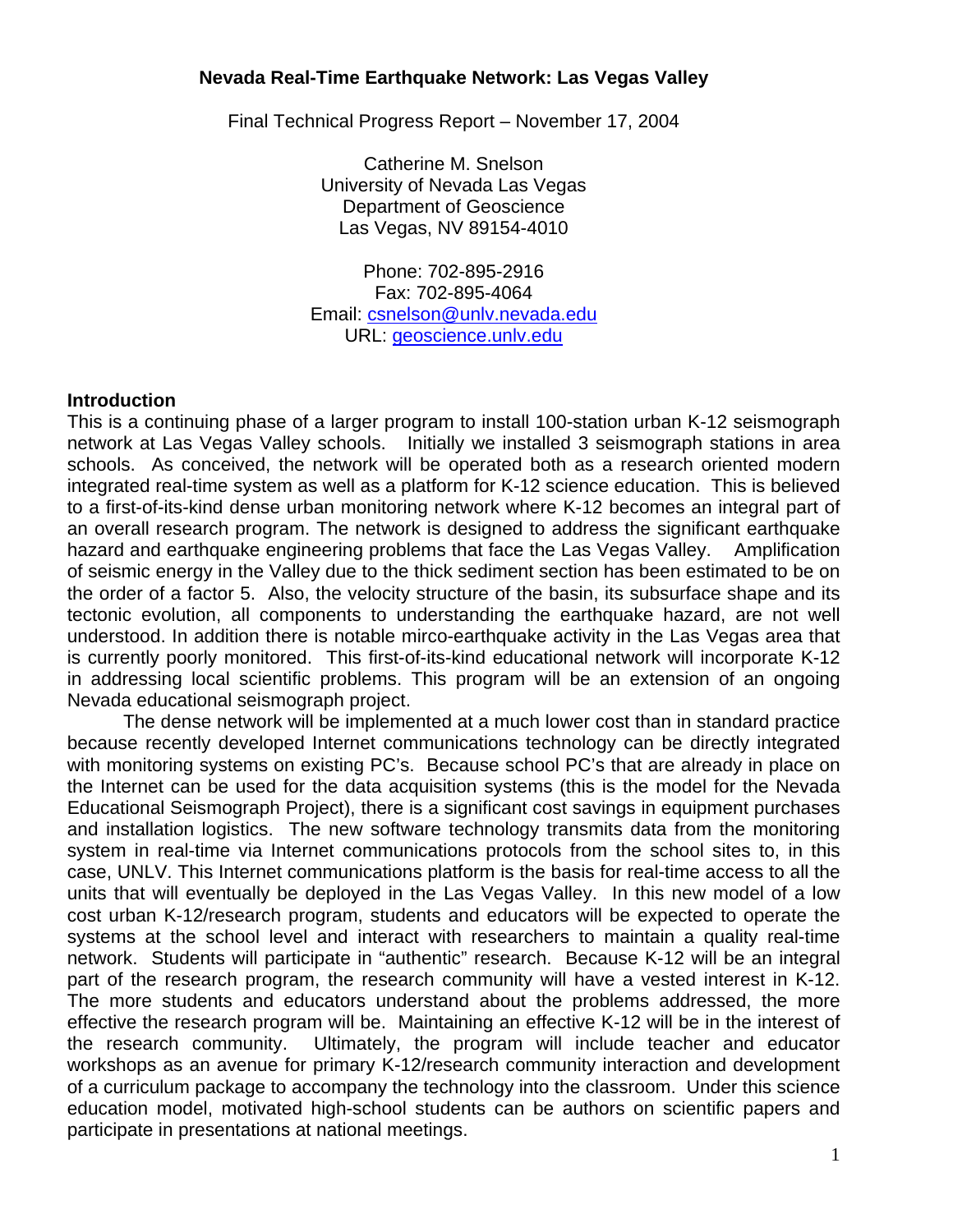# **Nevada Real-Time Earthquake Network: Las Vegas Valley**

Final Technical Progress Report – November 17, 2004

Catherine M. Snelson University of Nevada Las Vegas Department of Geoscience Las Vegas, NV 89154-4010

Phone: 702-895-2916 Fax: 702-895-4064 Email: csnelson@unlv.nevada.edu URL: geoscience.unlv.edu

#### **Introduction**

This is a continuing phase of a larger program to install 100-station urban K-12 seismograph network at Las Vegas Valley schools. Initially we installed 3 seismograph stations in area schools. As conceived, the network will be operated both as a research oriented modern integrated real-time system as well as a platform for K-12 science education. This is believed to a first-of-its-kind dense urban monitoring network where K-12 becomes an integral part of an overall research program. The network is designed to address the significant earthquake hazard and earthquake engineering problems that face the Las Vegas Valley. Amplification of seismic energy in the Valley due to the thick sediment section has been estimated to be on the order of a factor 5. Also, the velocity structure of the basin, its subsurface shape and its tectonic evolution, all components to understanding the earthquake hazard, are not well understood. In addition there is notable mirco-earthquake activity in the Las Vegas area that is currently poorly monitored. This first-of-its-kind educational network will incorporate K-12 in addressing local scientific problems. This program will be an extension of an ongoing Nevada educational seismograph project.

The dense network will be implemented at a much lower cost than in standard practice because recently developed Internet communications technology can be directly integrated with monitoring systems on existing PC's. Because school PC's that are already in place on the Internet can be used for the data acquisition systems (this is the model for the Nevada Educational Seismograph Project), there is a significant cost savings in equipment purchases and installation logistics. The new software technology transmits data from the monitoring system in real-time via Internet communications protocols from the school sites to, in this case, UNLV. This Internet communications platform is the basis for real-time access to all the units that will eventually be deployed in the Las Vegas Valley. In this new model of a low cost urban K-12/research program, students and educators will be expected to operate the systems at the school level and interact with researchers to maintain a quality real-time network. Students will participate in "authentic" research. Because K-12 will be an integral part of the research program, the research community will have a vested interest in K-12. The more students and educators understand about the problems addressed, the more effective the research program will be. Maintaining an effective K-12 will be in the interest of the research community. Ultimately, the program will include teacher and educator workshops as an avenue for primary K-12/research community interaction and development of a curriculum package to accompany the technology into the classroom. Under this science education model, motivated high-school students can be authors on scientific papers and participate in presentations at national meetings.